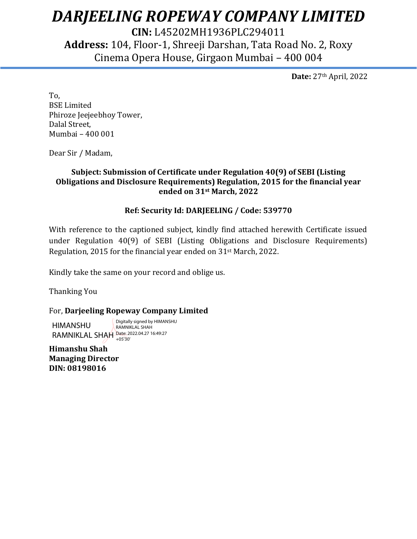# *DARJEELING ROPEWAY COMPANY LIMITED*

**CIN:** L45202MH1936PLC294011 **Address:** 104, Floor-1, Shreeji Darshan, Tata Road No. 2, Roxy Cinema Opera House, Girgaon Mumbai – 400 004

**Date:** 27th April, 2022

To, BSE Limited Phiroze Jeejeebhoy Tower, Dalal Street, Mumbai – 400 001

Dear Sir / Madam,

### **Subject: Submission of Certificate under Regulation 40(9) of SEBI (Listing Obligations and Disclosure Requirements) Regulation, 2015 for the financial year ended on 31st March, 2022**

### **Ref: Security Id: DARJEELING / Code: 539770**

With reference to the captioned subject, kindly find attached herewith Certificate issued under Regulation 40(9) of SEBI (Listing Obligations and Disclosure Requirements) Regulation, 2015 for the financial year ended on 31st March, 2022.

Kindly take the same on your record and oblige us.

Thanking You

### For, **Darjeeling Ropeway Company Limited**

HIMANSHU RAMNIKLAL SHAH Date: 2022.04.27 16:49:27 Digitally signed by HIMANSHU RAMNIKLAL SHAH +05'30'

**Himanshu Shah Managing Director DIN: 08198016**